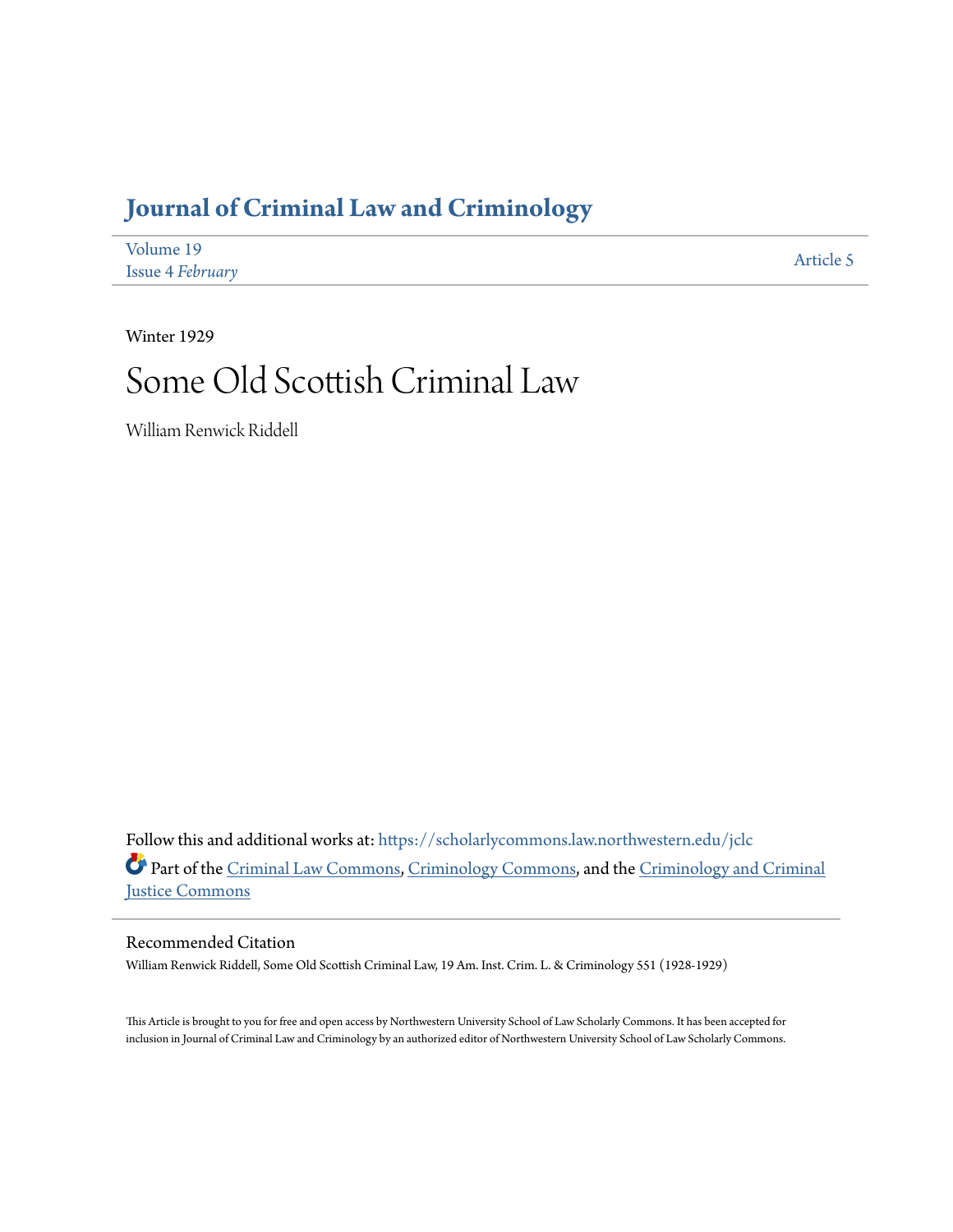## **[Journal of Criminal Law and Criminology](https://scholarlycommons.law.northwestern.edu/jclc?utm_source=scholarlycommons.law.northwestern.edu%2Fjclc%2Fvol19%2Fiss4%2F5&utm_medium=PDF&utm_campaign=PDFCoverPages)**

| Volume 19               | Article 5 |
|-------------------------|-----------|
| <b>Issue 4 February</b> |           |

Winter 1929

# Some Old Scottish Criminal Law

William Renwick Riddell

Follow this and additional works at: [https://scholarlycommons.law.northwestern.edu/jclc](https://scholarlycommons.law.northwestern.edu/jclc?utm_source=scholarlycommons.law.northwestern.edu%2Fjclc%2Fvol19%2Fiss4%2F5&utm_medium=PDF&utm_campaign=PDFCoverPages) Part of the [Criminal Law Commons](http://network.bepress.com/hgg/discipline/912?utm_source=scholarlycommons.law.northwestern.edu%2Fjclc%2Fvol19%2Fiss4%2F5&utm_medium=PDF&utm_campaign=PDFCoverPages), [Criminology Commons](http://network.bepress.com/hgg/discipline/417?utm_source=scholarlycommons.law.northwestern.edu%2Fjclc%2Fvol19%2Fiss4%2F5&utm_medium=PDF&utm_campaign=PDFCoverPages), and the [Criminology and Criminal](http://network.bepress.com/hgg/discipline/367?utm_source=scholarlycommons.law.northwestern.edu%2Fjclc%2Fvol19%2Fiss4%2F5&utm_medium=PDF&utm_campaign=PDFCoverPages) [Justice Commons](http://network.bepress.com/hgg/discipline/367?utm_source=scholarlycommons.law.northwestern.edu%2Fjclc%2Fvol19%2Fiss4%2F5&utm_medium=PDF&utm_campaign=PDFCoverPages)

#### Recommended Citation

William Renwick Riddell, Some Old Scottish Criminal Law, 19 Am. Inst. Crim. L. & Criminology 551 (1928-1929)

This Article is brought to you for free and open access by Northwestern University School of Law Scholarly Commons. It has been accepted for inclusion in Journal of Criminal Law and Criminology by an authorized editor of Northwestern University School of Law Scholarly Commons.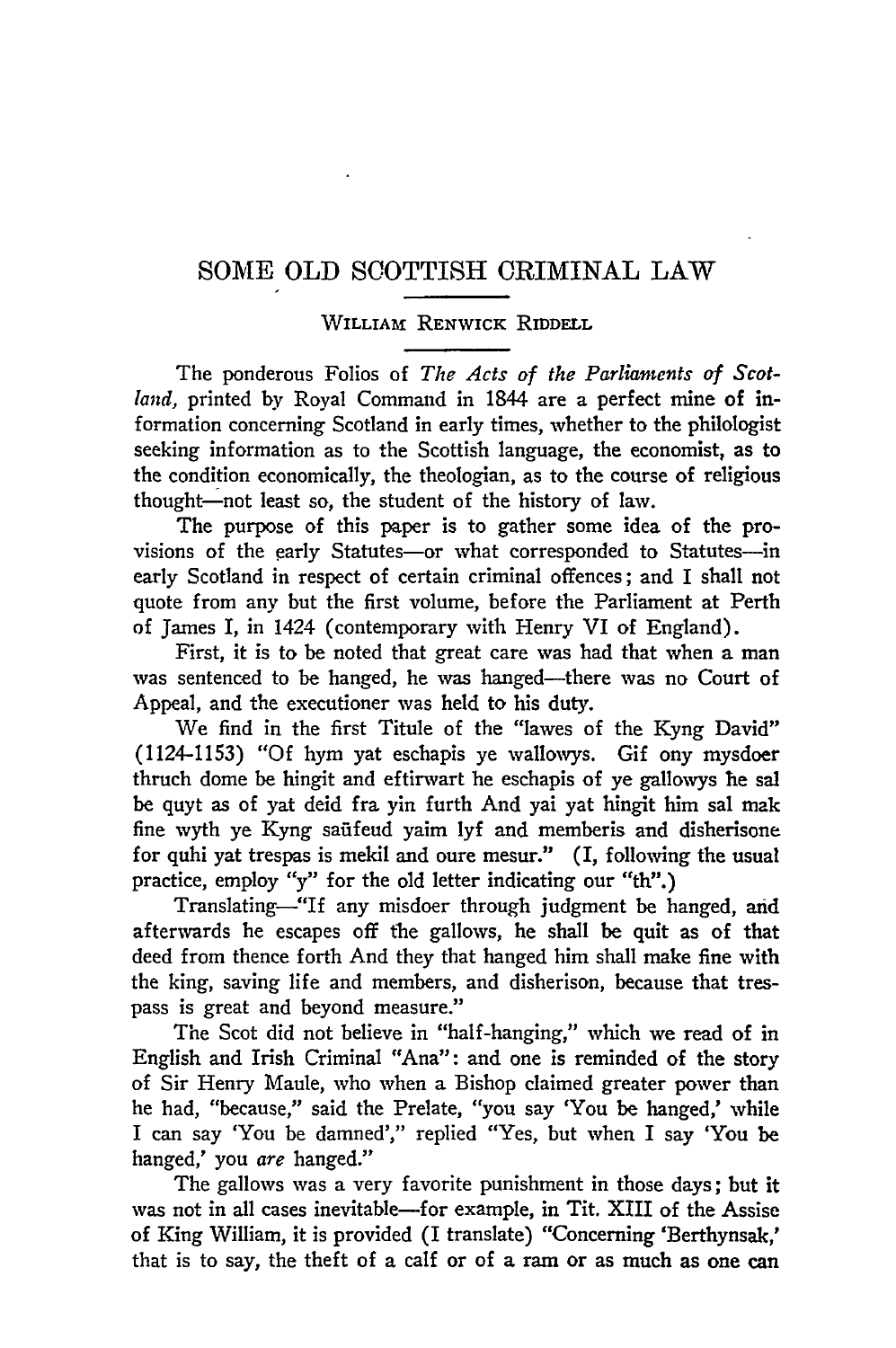### SOME OLD SCOTTISH CRIMINAL LAW

#### WILLIAm RENWICK RIDDELL

The ponderous Folios of *The Acts of the Parliaments of Scotland,* printed by Royal Command in 1844 are a perfect mine of information concerning Scotland in early times, whether to the philologist seeking information as to the Scottish language, the economist, as to the condition economically, the theologian, as to the course of religious thought-not least so, the student of the history of law.

The purpose of this paper is to gather some idea of the provisions of the early Statutes-or what corresponded to Statutes-in early Scotland in respect of certain criminal offences; and I shall not quote from any but the first volume, before the Parliament at Perth of James I, in 1424 (contemporary with Henry VI of England).

First, it is to be noted that great care was had that when a man was sentenced to be hanged, he was hanged-there was no Court of Appeal, and the executioner was held to his duty.

We find in the first Titule of the "lawes of the Kyng David" (1124-1153) "Of hym yat eschapis ye wallowys. Gif ony mysdoer thruch dome be hingit and eftirwart he eschapis of ye gallowys he sal be quyt as of yat deid fra yin furth And yai yat hingit him sal mak fine wyth ye Kyng safifeud yaim **lyf** and memberis and disherisone for quhi yat trespas is mekil and oure mesur." (I, following the usual practice, employ "y" for the old letter indicating our "th".)

Translating-"If any misdoer through judgment be hanged, and afterwards he escapes off the gallows, he shall be quit as of that deed from thence forth And they that hanged him shall make fine with the king, saving life and members, and disherison, because that trespass is great and beyond measure."

The Scot did not believe in "half-hanging," which we read of in English and Irish Criminal "Ana": and one is reminded of the story of Sir Henry Maule, who when a Bishop claimed greater power than he had, "because," said the Prelate, "you say 'You be hanged,' while I can say 'You be damned'," replied "Yes, but when I say 'You be hanged,' you *are* hanged."

The gallows was a very favorite punishment in those days; but it was not in all cases inevitable-for example, in Tit. XIII of the Assise of King William, it is provided (I translate) "Concerning 'Berthynsak,' that is to say, the theft of a calf or of a ram or as much as one can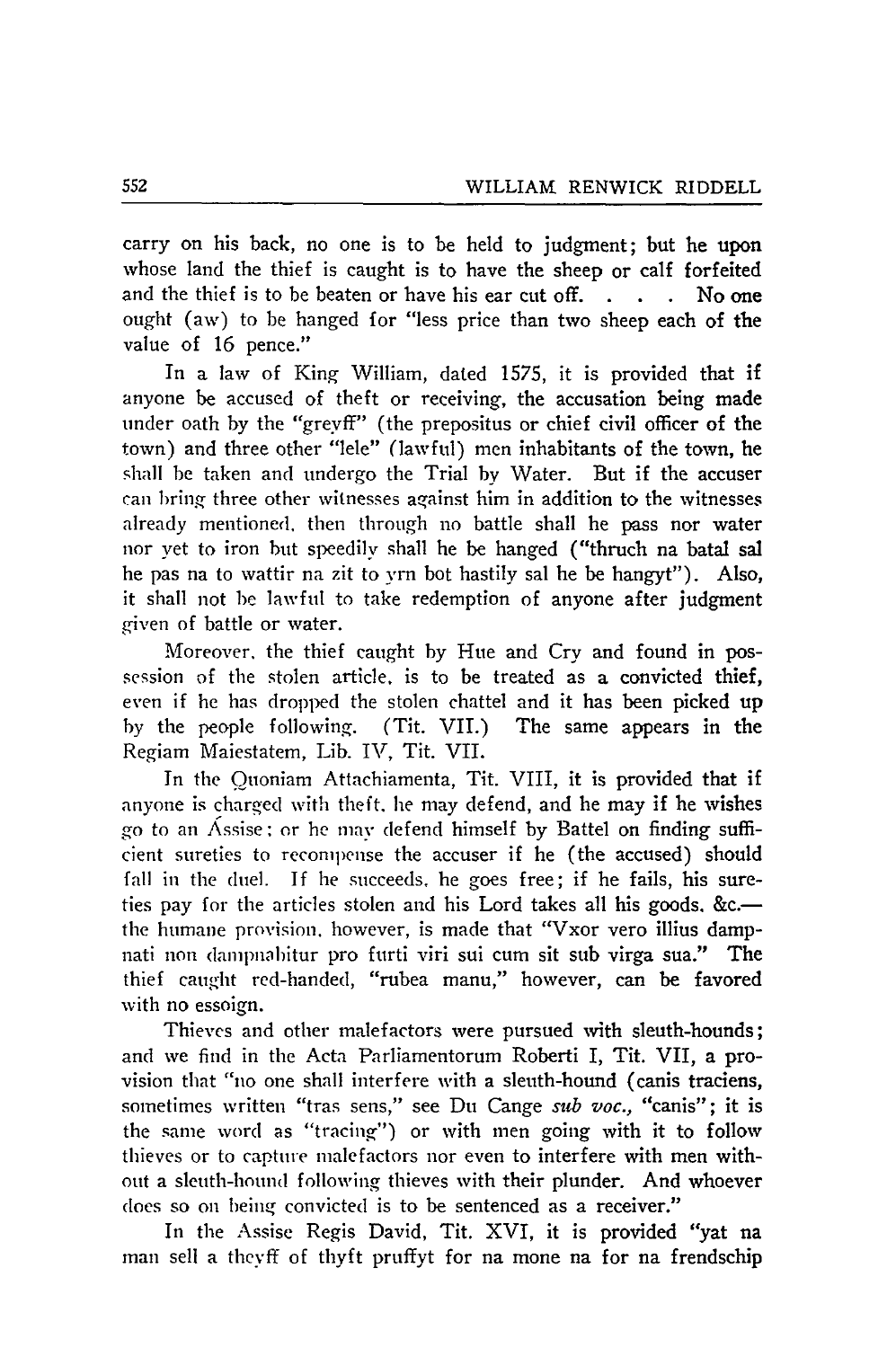carry on his back, no one is to be held to judgment; but he upon whose land the thief is caught is to have the sheep or calf forfeited and the thief is to be beaten or have his ear cut off. **. .** No one ought (aw) to be hanged for "less price than two sheep each of the value of 16 pence."

In a law of King William, dated 1575, it is provided that if anyone be accused of theft or receiving, the accusation being made under oath by the "greyff" (the prepositus or chief civil officer of the town) and three other "lele" (lawful) men inhabitants of the town, he shall be taken and undergo the Trial by Water. But if the accuser can bring three other witnesses against him in addition to the witnesses already mentioned, then through no battle shall he pass nor water nor yet to iron but speedily shall he be hanged ("thruch na batal sal he pas na to wattir na zit to vrn bot hastily sal he be hangyt"). Also, it shall not **be** lawful to take redemption of anyone after judgment given of battle or water.

Moreover, the thief caught by Hue and Cry and found in possession of the stolen article, is to be treated as a convicted thief, even if he has dropped the stolen chattel and it has been picked up by the people following. (Tit. VII.) The same appears in the Regiam Maiestatem, Lib. IV, Tit. VII.

In the Ouoniam Attachiamenta, Tit. VIII, it is provided that if anyone is charged with theft, he may defend, and he may if he wishes go to an Assise: or he mav defend himself by Battel on finding sufficient sureties to recompense the accuser if he (the accused) should fall in the duel. If he succeeds, he goes free; if he fails, his sureties pay for the articles stolen and his Lord takes all his goods. &c.the humane provision, however, is made that "Vxor vero illius dampnati non dampnabitur pro furti viri sui cum sit sub virga sua." The thief caught red-handed, "rubea manu," however, can be favored with no essoign.

Thieves and other malefactors were pursued with sleuth-hounds; and we find in the Acta Parliamentorum Roberti I, Tit. VII, a provision that "no one shall interfere with a sleuth-hound (canis traciens, sometimes written "tras sens," see Du Cange *sub voc.,* "canis"; it is the same word as "tracing") or with men going with it to follow thieves or to capture malefactors nor even to interfere with men without a sleuth-hound following thieves with their plunder. And whoever does so on being convicted is to be sentenced as a receiver."

In the Assise Regis David, Tit. XVI, it is provided "yat na man sell a thevff of thyft pruffyt for na mone na for na frendschip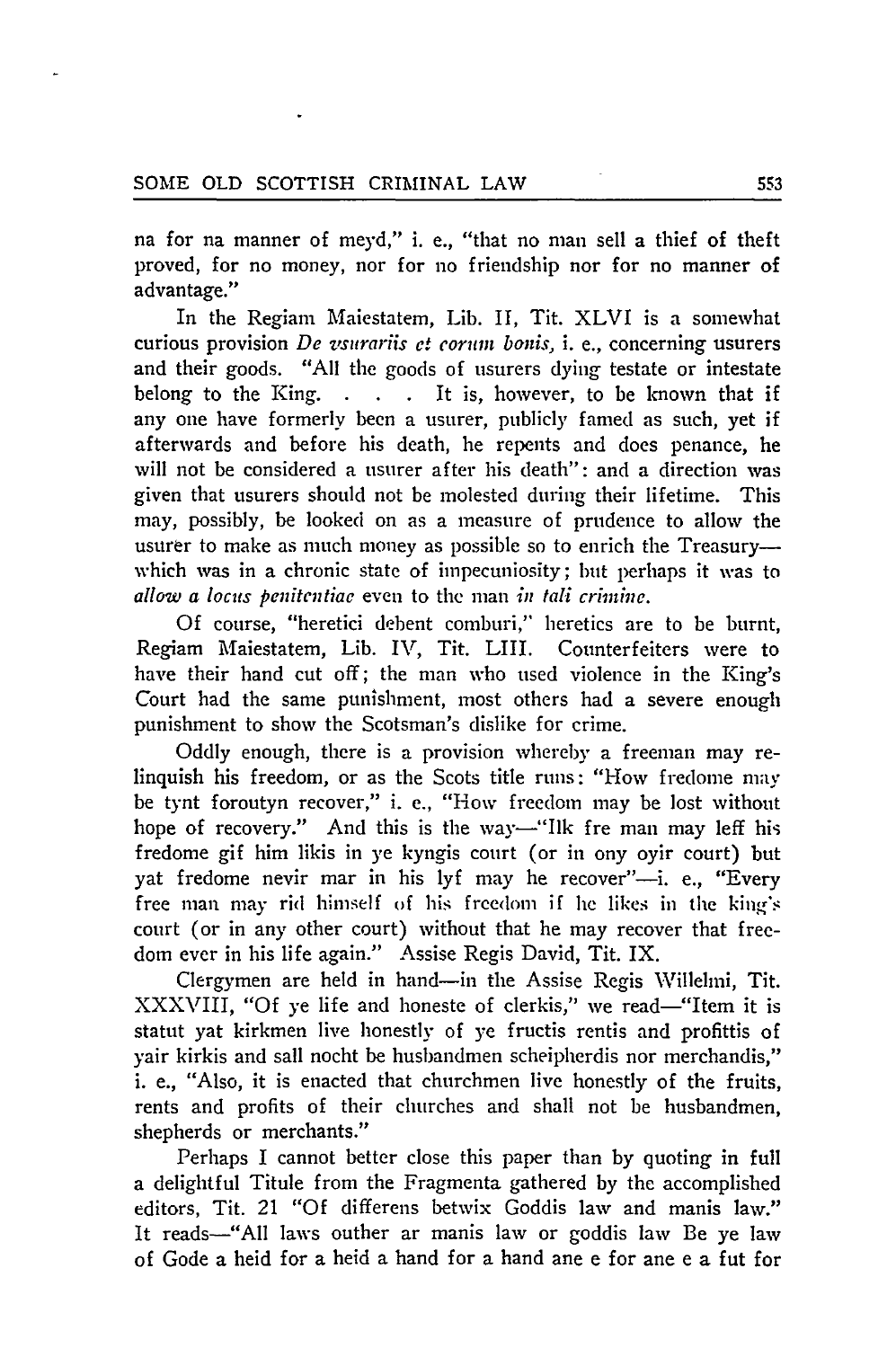na for na manner of meyd," i. e., "that no man sell a thief of theft proved, for no money, nor for no friendship nor for no manner of advantage."

In the Regiam Maiestatem, Lib. II, Tit. XLVI is a somewhat curious provision **De** *z'surariis* et cormn *banis,* i. e., concerning usurers and their goods. "All the goods of usurers dying testate or intestate belong to the King. **. .** It is, however, to be known that if any one have formerly been a usurer, publicly famed as such, yet if afterwards and before his death, he repents and does penance, he will not be considered a usurer after his death": and a direction was given that usurers should not be molested during their lifetime. This may, possibly, be looked on as a measure of prudence to allow the usurer to make as much money as possible so to enrich the Treasurywhich was in a chronic state of impecuniosity; but perhaps it was to *allow a locus penitentiae* even to the man *in tali* crinte.

Of course, "heretici debent comburi," heretics are to be burnt, Regiam Maiestatem, Lib. **IV,** Tit. LIII. Counterfeiters were to have their hand cut off; the man who used violence in the King's Court had the same punishment, most others had a severe enough punishment to show the Scotsman's dislike for crime.

Oddly enough, there is a provision whereby a freeman may relinquish his freedom, or as the Scots title runs: "How fredome may be tynt foroutyn recover," i. e., "How freedom may be lost without hope of recovery." And this is the way-"Ilk fre man may leff his fredome gif him likis in ye kyngis court (or in ony oyir court) but yat fredome nevir mar in his lyf may he recover"-i. e., "Every free man may rid himself of his freedom if he likes in the king's court (or in any other court) without that he may recover that freedom ever in his life again." Assise Regis David, Tit. IX.

Clergymen are held in hand-in the Assise Regis Willelni, Tit. XXXVIII, "Of ye life and honeste of clerkis," we read-"Item it is statut yat kirkmen live honestly of **ye** fructis rentis and profittis of yair kirkis and sail nocht be husbandmen scheipherdis nor merchandis," i. e., "Also, it is enacted that churchmen live honestly of the fruits, rents and profits of their churches and shall not be husbandmen, shepherds or merchants."

Perhaps I cannot better close this paper than **by** quoting in full a delightful Titule from the Fragmenta gathered **by** the accomplished editors, Tit. 21 "Of differens betwix Goddis law and manis law." It reads—"All laws outher ar manis law or goddis law Be ye law of Gode a heid for a heid a hand for a hand ane e for ane e a fut for